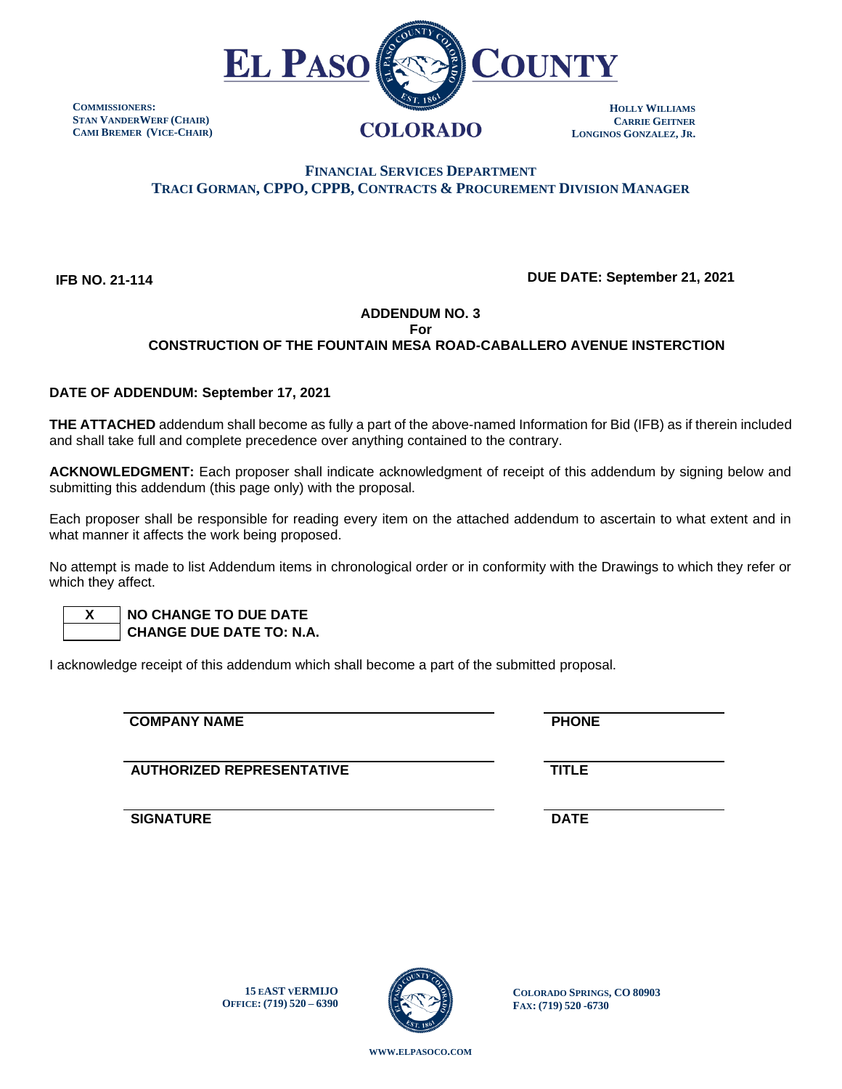

**COMMISSIONERS: STAN VANDERWERF (CHAIR) CAMI BREMER (VICE-CHAIR)**

# **FINANCIAL SERVICES DEPARTMENT TRACI GORMAN, CPPO, CPPB, CONTRACTS & PROCUREMENT DIVISION MANAGER**

 **IFB NO. 21-114**

## **DUE DATE: September 21, 2021**

## **ADDENDUM NO. 3**

**For**

# **CONSTRUCTION OF THE FOUNTAIN MESA ROAD-CABALLERO AVENUE INSTERCTION**

### **DATE OF ADDENDUM: September 17, 2021**

**THE ATTACHED** addendum shall become as fully a part of the above-named Information for Bid (IFB) as if therein included and shall take full and complete precedence over anything contained to the contrary.

**ACKNOWLEDGMENT:** Each proposer shall indicate acknowledgment of receipt of this addendum by signing below and submitting this addendum (this page only) with the proposal.

Each proposer shall be responsible for reading every item on the attached addendum to ascertain to what extent and in what manner it affects the work being proposed.

No attempt is made to list Addendum items in chronological order or in conformity with the Drawings to which they refer or which they affect.

 **X NO CHANGE TO DUE DATE CHANGE DUE DATE TO: N.A.**

I acknowledge receipt of this addendum which shall become a part of the submitted proposal.

**COMPANY NAME** PHONE

**AUTHORIZED REPRESENTATIVE TITLE**

**SIGNATURE DATE**

**15 EAST VERMIJO OFFICE: (719) 520 – 6390**



**COLORADO SPRINGS, CO 80903 FAX: (719) 520 -6730**

**WWW.[ELPASOCO](file:///C:/Users/pcdfields/AppData/Local/Microsoft/Windows/INetCache/Content.Outlook/OA1LDP44/www.elpasoco.com).COM**